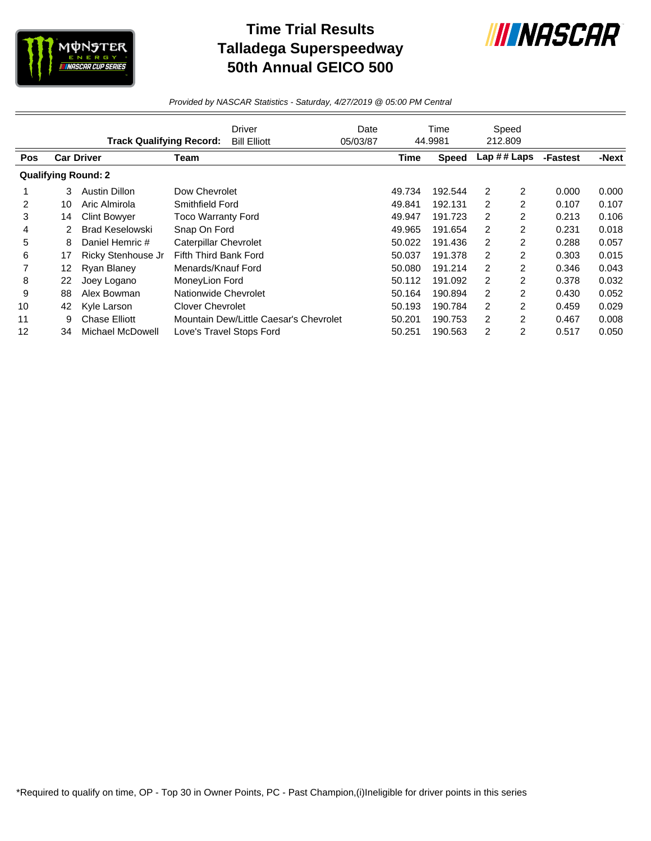

## **Time Trial Results Talladega Superspeedway 50th Annual GEICO 500**



*Provided by NASCAR Statistics - Saturday, 4/27/2019 @ 05:00 PM Central*

|            |    | <b>Track Qualifying Record:</b> |                              | Driver<br><b>Bill Elliott</b>          | Date<br>05/03/87 |             | Time<br>44.9981 | 212.809        | Speed          |          |       |
|------------|----|---------------------------------|------------------------------|----------------------------------------|------------------|-------------|-----------------|----------------|----------------|----------|-------|
| <b>Pos</b> |    | <b>Car Driver</b>               | Team                         |                                        |                  | <b>Time</b> | Speed           | Lap $\#$ Laps  |                | -Fastest | -Next |
|            |    | <b>Qualifying Round: 2</b>      |                              |                                        |                  |             |                 |                |                |          |       |
|            | 3  | Austin Dillon                   | Dow Chevrolet                |                                        |                  | 49.734      | 192.544         | 2              | 2              | 0.000    | 0.000 |
| 2          | 10 | Aric Almirola                   | Smithfield Ford              |                                        |                  | 49.841      | 192.131         | $\overline{2}$ | $\overline{2}$ | 0.107    | 0.107 |
| 3          | 14 | <b>Clint Bowyer</b>             | <b>Toco Warranty Ford</b>    |                                        |                  | 49.947      | 191.723         | 2              | 2              | 0.213    | 0.106 |
| 4          | 2  | <b>Brad Keselowski</b>          | Snap On Ford                 |                                        |                  | 49.965      | 191.654         | 2              | 2              | 0.231    | 0.018 |
| 5          | 8  | Daniel Hemric #                 | <b>Caterpillar Chevrolet</b> |                                        |                  | 50.022      | 191.436         | 2              | 2              | 0.288    | 0.057 |
| 6          | 17 | Ricky Stenhouse Jr              | Fifth Third Bank Ford        |                                        |                  | 50.037      | 191.378         | 2              | $\overline{2}$ | 0.303    | 0.015 |
|            | 12 | Ryan Blaney                     | Menards/Knauf Ford           |                                        |                  | 50.080      | 191.214         | 2              | 2              | 0.346    | 0.043 |
| 8          | 22 | Joey Logano                     | MoneyLion Ford               |                                        |                  | 50.112      | 191.092         | 2              | 2              | 0.378    | 0.032 |
| 9          | 88 | Alex Bowman                     | Nationwide Chevrolet         |                                        |                  | 50.164      | 190.894         | 2              | 2              | 0.430    | 0.052 |
| 10         | 42 | Kyle Larson                     | <b>Clover Chevrolet</b>      |                                        |                  | 50.193      | 190.784         | 2              | 2              | 0.459    | 0.029 |
| 11         | 9  | <b>Chase Elliott</b>            |                              | Mountain Dew/Little Caesar's Chevrolet |                  | 50.201      | 190.753         | $\overline{2}$ | $\overline{2}$ | 0.467    | 0.008 |
| 12         | 34 | Michael McDowell                |                              | Love's Travel Stops Ford               |                  | 50.251      | 190.563         | 2              | 2              | 0.517    | 0.050 |